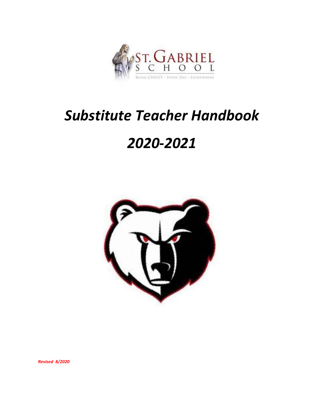

# *Substitute Teacher Handbook*

# *2020-2021*



*Revised 8/2020*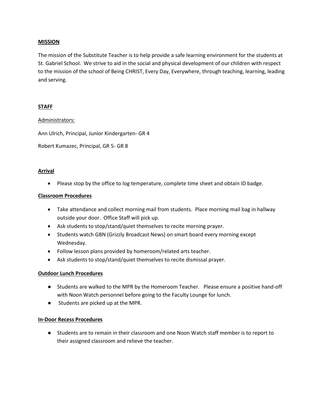# **MISSION**

The mission of the Substitute Teacher is to help provide a safe learning environment for the students at St. Gabriel School. We strive to aid in the social and physical development of our children with respect to the mission of the school of Being CHRIST, Every Day, Everywhere, through teaching, learning, leading and serving.

# **STAFF**

#### Administrators:

Ann Ulrich, Principal, Junior Kindergarten- GR 4

Robert Kumazec, Principal, GR 5- GR 8

#### **Arrival**

• Please stop by the office to log temperature, complete time sheet and obtain ID badge.

#### **Classroom Procedures**

- Take attendance and collect morning mail from students. Place morning mail bag in hallway outside your door. Office Staff will pick up.
- Ask students to stop/stand/quiet themselves to recite morning prayer.
- Students watch GBN (Grizzly Broadcast News) on smart board every morning except Wednesday.
- Follow lesson plans provided by homeroom/related arts teacher.
- Ask students to stop/stand/quiet themselves to recite dismissal prayer.

# **Outdoor Lunch Procedures**

- Students are walked to the MPR by the Homeroom Teacher. Please ensure a positive hand-off with Noon Watch personnel before going to the Faculty Lounge for lunch.
- Students are picked up at the MPR.

# **In-Door Recess Procedures**

● Students are to remain in their classroom and one Noon Watch staff member is to report to their assigned classroom and relieve the teacher.